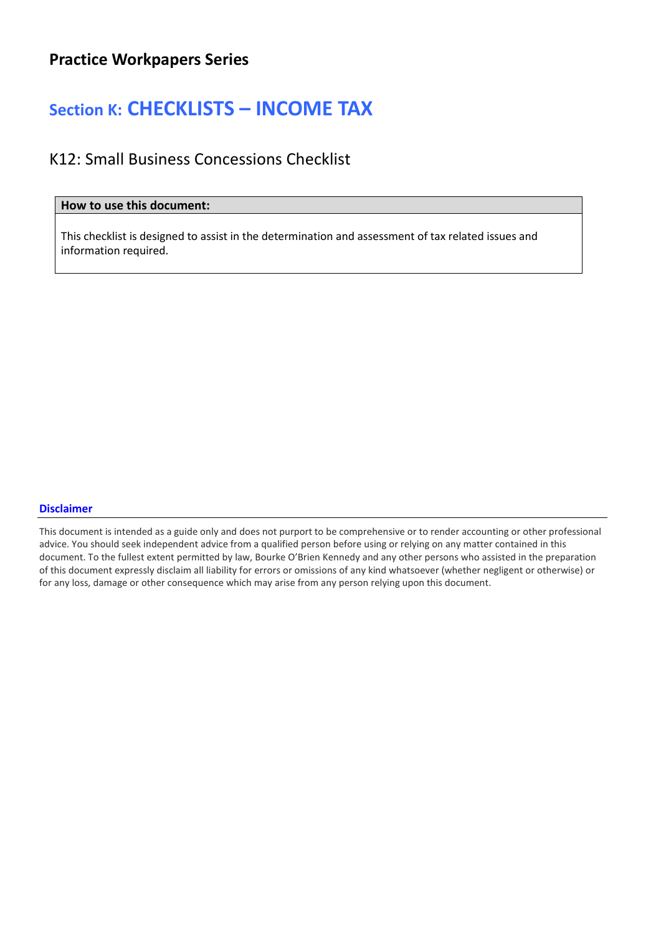# Section K: CHECKLISTS – INCOME TAX

### K12: Small Business Concessions Checklist

### How to use this document:

This checklist is designed to assist in the determination and assessment of tax related issues and information required.

#### Disclaimer

This document is intended as a guide only and does not purport to be comprehensive or to render accounting or other professional advice. You should seek independent advice from a qualified person before using or relying on any matter contained in this document. To the fullest extent permitted by law, Bourke O'Brien Kennedy and any other persons who assisted in the preparation of this document expressly disclaim all liability for errors or omissions of any kind whatsoever (whether negligent or otherwise) or for any loss, damage or other consequence which may arise from any person relying upon this document.